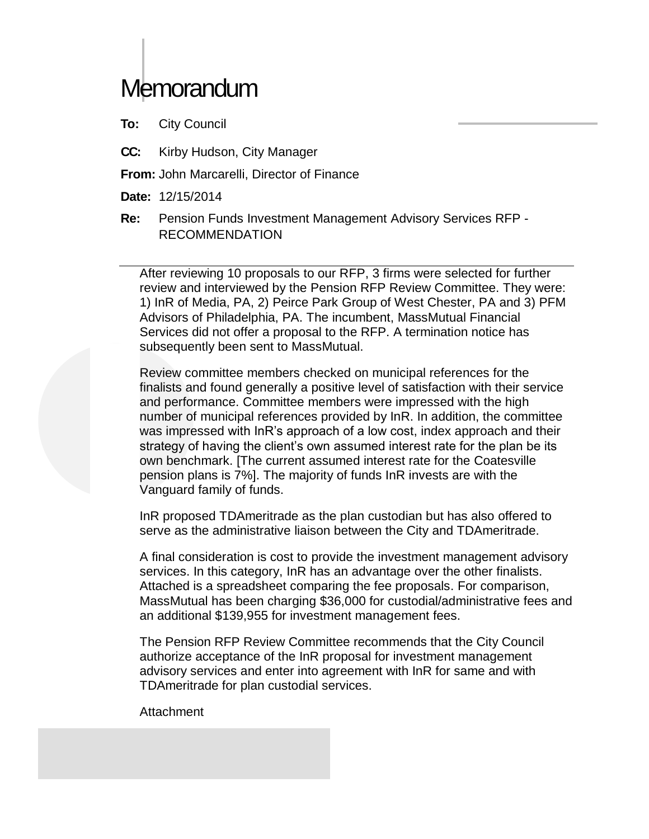# **Memorandum**

**To:** City Council

- **CC:** Kirby Hudson, City Manager
- **From:** John Marcarelli, Director of Finance
- **Date:** 12/15/2014
- **Re:** Pension Funds Investment Management Advisory Services RFP RECOMMENDATION

After reviewing 10 proposals to our RFP, 3 firms were selected for further review and interviewed by the Pension RFP Review Committee. They were: 1) InR of Media, PA, 2) Peirce Park Group of West Chester, PA and 3) PFM Advisors of Philadelphia, PA. The incumbent, MassMutual Financial Services did not offer a proposal to the RFP. A termination notice has subsequently been sent to MassMutual.

Review committee members checked on municipal references for the finalists and found generally a positive level of satisfaction with their service and performance. Committee members were impressed with the high number of municipal references provided by InR. In addition, the committee was impressed with InR's approach of a low cost, index approach and their strategy of having the client's own assumed interest rate for the plan be its own benchmark. [The current assumed interest rate for the Coatesville pension plans is 7%]. The majority of funds InR invests are with the Vanguard family of funds.

InR proposed TDAmeritrade as the plan custodian but has also offered to serve as the administrative liaison between the City and TDAmeritrade.

A final consideration is cost to provide the investment management advisory services. In this category, InR has an advantage over the other finalists. Attached is a spreadsheet comparing the fee proposals. For comparison, MassMutual has been charging \$36,000 for custodial/administrative fees and an additional \$139,955 for investment management fees.

The Pension RFP Review Committee recommends that the City Council authorize acceptance of the InR proposal for investment management advisory services and enter into agreement with InR for same and with TDAmeritrade for plan custodial services.

Attachment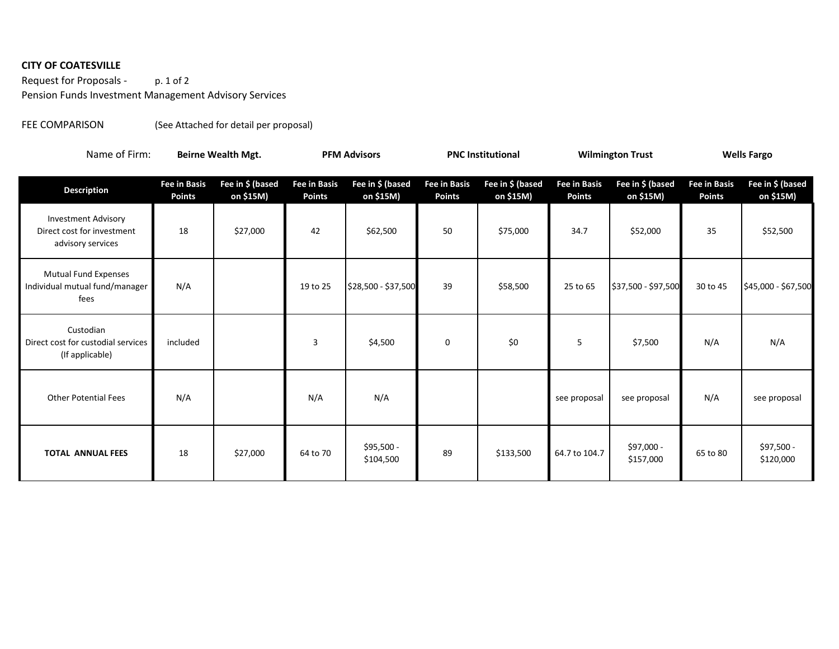# **CITY OF COATESVILLE**

Request for Proposals - p. 1 of 2 Pension Funds Investment Management Advisory Services

### FEE COMPARISON (See Attached for detail per proposal)

| Name of Firm:                                                                 | <b>Beirne Wealth Mgt.</b>            |                               | <b>PFM Advisors</b>                  |                               | <b>PNC Institutional</b>             |                               | <b>Wilmington Trust</b>              |                               | <b>Wells Fargo</b>                   |                               |
|-------------------------------------------------------------------------------|--------------------------------------|-------------------------------|--------------------------------------|-------------------------------|--------------------------------------|-------------------------------|--------------------------------------|-------------------------------|--------------------------------------|-------------------------------|
| <b>Description</b>                                                            | <b>Fee in Basis</b><br><b>Points</b> | Fee in \$ (based<br>on \$15M) | <b>Fee in Basis</b><br><b>Points</b> | Fee in \$ (based<br>on \$15M) | <b>Fee in Basis</b><br><b>Points</b> | Fee in \$ (based<br>on \$15M) | <b>Fee in Basis</b><br><b>Points</b> | Fee in \$ (based<br>on \$15M) | <b>Fee in Basis</b><br><b>Points</b> | Fee in \$ (based<br>on \$15M) |
| <b>Investment Advisory</b><br>Direct cost for investment<br>advisory services | 18                                   | \$27,000                      | 42                                   | \$62,500                      | 50                                   | \$75,000                      | 34.7                                 | \$52,000                      | 35                                   | \$52,500                      |
| <b>Mutual Fund Expenses</b><br>Individual mutual fund/manager<br>fees         | N/A                                  |                               | 19 to 25                             | \$28,500 - \$37,500           | 39                                   | \$58,500                      | 25 to 65                             | \$37,500 - \$97,500           | 30 to 45                             | \$45,000 - \$67,500           |
| Custodian<br>Direct cost for custodial services<br>(If applicable)            | included                             |                               | 3                                    | \$4,500                       | 0                                    | \$0                           | 5                                    | \$7,500                       | N/A                                  | N/A                           |
| <b>Other Potential Fees</b>                                                   | N/A                                  |                               | N/A                                  | N/A                           |                                      |                               | see proposal                         | see proposal                  | N/A                                  | see proposal                  |
| <b>TOTAL ANNUAL FEES</b>                                                      | 18                                   | \$27,000                      | 64 to 70                             | \$95,500 -<br>\$104,500       | 89                                   | \$133,500                     | 64.7 to 104.7                        | \$97,000 -<br>\$157,000       | 65 to 80                             | \$97,500 -<br>\$120,000       |